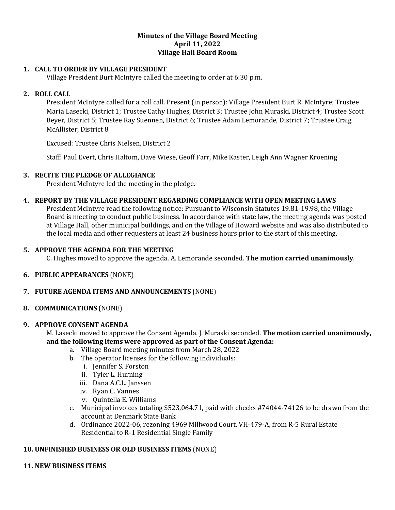#### **Minutes of the Village Board Meeting April 11, 2022 Village Hall Board Room**

### **1. CALL TO ORDER BY VILLAGE PRESIDENT**

Village President Burt McIntyre called the meeting to order at 6:30 p.m.

### **2. ROLL CALL**

President McIntyre called for a roll call. Present (in person): Village President Burt R. McIntyre; Trustee Maria Lasecki, District 1; Trustee Cathy Hughes, District 3; Trustee John Muraski, District 4; Trustee Scott Beyer, District 5; Trustee Ray Suennen, District 6; Trustee Adam Lemorande, District 7; Trustee Craig McAllister, District 8

Excused: Trustee Chris Nielsen, District 2

Staff: Paul Evert, Chris Haltom, Dave Wiese, Geoff Farr, Mike Kaster, Leigh Ann Wagner Kroening

#### **3. RECITE THE PLEDGE OF ALLEGIANCE**

President McIntyre led the meeting in the pledge.

#### **4. REPORT BY THE VILLAGE PRESIDENT REGARDING COMPLIANCE WITH OPEN MEETING LAWS**

President McIntyre read the following notice: Pursuant to Wisconsin Statutes 19.81-19.98, the Village Board is meeting to conduct public business. In accordance with state law, the meeting agenda was posted at Village Hall, other municipal buildings, and on the Village of Howard website and was also distributed to the local media and other requesters at least 24 business hours prior to the start of this meeting.

#### **5. APPROVE THE AGENDA FOR THE MEETING**

C. Hughes moved to approve the agenda. A. Lemorande seconded. **The motion carried unanimously**.

#### **6. PUBLIC APPEARANCES** (NONE)

### **7. FUTURE AGENDA ITEMS AND ANNOUNCEMENTS** (NONE)

**8. COMMUNICATIONS** (NONE)

#### **9. APPROVE CONSENT AGENDA**

M. Lasecki moved to approve the Consent Agenda. J. Muraski seconded. **The motion carried unanimously, and the following items were approved as part of the Consent Agenda:**

- a. Village Board meeting minutes from March 28, 2022
- b. The operator licenses for the following individuals:
	- i. Jennifer S. Forston
	- ii. Tyler L. Hurning
	- iii. Dana A.C.L. Janssen
	- iv. Ryan C. Vannes
	- v. Quintella E. Williams
- c. Municipal invoices totaling \$523,064.71, paid with checks #74044-74126 to be drawn from the account at Denmark State Bank
- d. Ordinance 2022-06, rezoning 4969 Millwood Court, VH-479-A, from R-5 Rural Estate Residential to R-1 Residential Single Family

### **10. UNFINISHED BUSINESS OR OLD BUSINESS ITEMS** (NONE)

#### **11. NEW BUSINESS ITEMS**